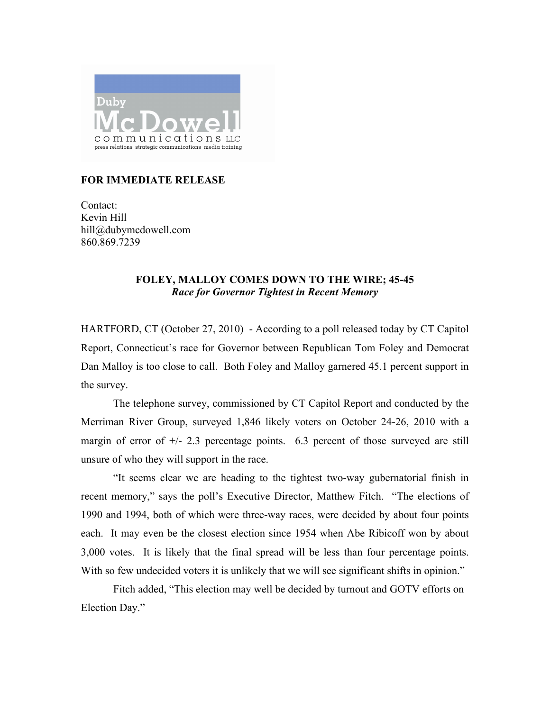

## **FOR IMMEDIATE RELEASE**

Contact: Kevin Hill hill@dubymcdowell.com 860.869.7239

## **FOLEY, MALLOY COMES DOWN TO THE WIRE; 45-45** *Race for Governor Tightest in Recent Memory*

HARTFORD, CT (October 27, 2010) - According to a poll released today by CT Capitol Report, Connecticut's race for Governor between Republican Tom Foley and Democrat Dan Malloy is too close to call. Both Foley and Malloy garnered 45.1 percent support in the survey.

 The telephone survey, commissioned by CT Capitol Report and conducted by the Merriman River Group, surveyed 1,846 likely voters on October 24-26, 2010 with a margin of error of  $+/- 2.3$  percentage points. 6.3 percent of those surveyed are still unsure of who they will support in the race.

"It seems clear we are heading to the tightest two-way gubernatorial finish in recent memory," says the poll's Executive Director, Matthew Fitch. "The elections of 1990 and 1994, both of which were three-way races, were decided by about four points each. It may even be the closest election since 1954 when Abe Ribicoff won by about 3,000 votes. It is likely that the final spread will be less than four percentage points. With so few undecided voters it is unlikely that we will see significant shifts in opinion."

Fitch added, "This election may well be decided by turnout and GOTV efforts on Election Day."